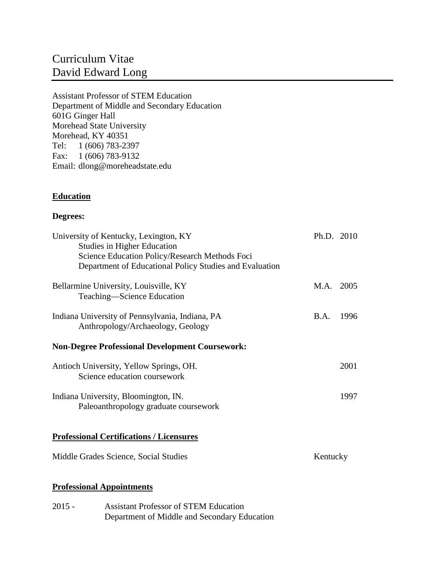# Curriculum Vitae David Edward Long

Assistant Professor of STEM Education Department of Middle and Secondary Education 601G Ginger Hall Morehead State University Morehead, KY 40351 Tel: 1 (606) 783-2397 Fax: 1 (606) 783-9132 Email: dlong@moreheadstate.edu

# **Education**

# **Degrees:**

| University of Kentucky, Lexington, KY<br><b>Studies in Higher Education</b><br>Science Education Policy/Research Methods Foci<br>Department of Educational Policy Studies and Evaluation | Ph.D. 2010  |      |
|------------------------------------------------------------------------------------------------------------------------------------------------------------------------------------------|-------------|------|
| Bellarmine University, Louisville, KY<br>Teaching-Science Education                                                                                                                      | M.A. 2005   |      |
| Indiana University of Pennsylvania, Indiana, PA<br>Anthropology/Archaeology, Geology                                                                                                     | <b>B.A.</b> | 1996 |
| <b>Non-Degree Professional Development Coursework:</b>                                                                                                                                   |             |      |
| Antioch University, Yellow Springs, OH.<br>Science education coursework                                                                                                                  |             | 2001 |
| Indiana University, Bloomington, IN.<br>Paleoanthropology graduate coursework                                                                                                            |             | 1997 |
| <b>Professional Certifications / Licensures</b>                                                                                                                                          |             |      |
| Middle Grades Science, Social Studies                                                                                                                                                    | Kentucky    |      |
| <b>Professional Appointments</b>                                                                                                                                                         |             |      |

2015 - Assistant Professor of STEM Education Department of Middle and Secondary Education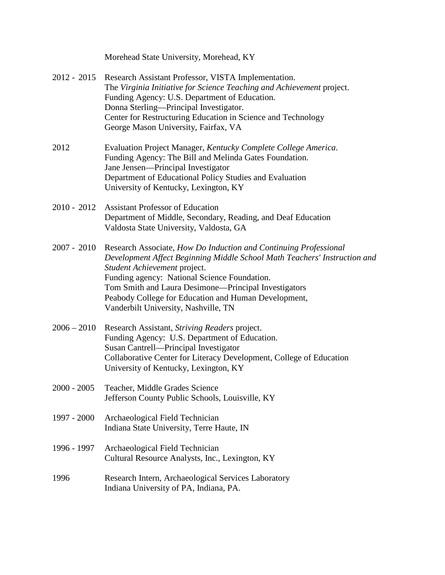| Morehead State University, Morehead, KY |  |  |  |
|-----------------------------------------|--|--|--|
|-----------------------------------------|--|--|--|

- 2012 2015 Research Assistant Professor, VISTA Implementation. The *Virginia Initiative for Science Teaching and Achievement* project. Funding Agency: U.S. Department of Education. Donna Sterling—Principal Investigator. Center for Restructuring Education in Science and Technology George Mason University, Fairfax, VA
- 2012 Evaluation Project Manager, *Kentucky Complete College America*. Funding Agency: The Bill and Melinda Gates Foundation. Jane Jensen—Principal Investigator Department of Educational Policy Studies and Evaluation University of Kentucky, Lexington, KY
- 2010 2012 Assistant Professor of Education Department of Middle, Secondary, Reading, and Deaf Education Valdosta State University, Valdosta, GA
- 2007 2010 Research Associate, *How Do Induction and Continuing Professional Development Affect Beginning Middle School Math Teachers' Instruction and Student Achievement* project. Funding agency: National Science Foundation. Tom Smith and Laura Desimone—Principal Investigators Peabody College for Education and Human Development, Vanderbilt University, Nashville, TN
- 2006 2010 Research Assistant, *Striving Readers* project. Funding Agency: U.S. Department of Education. Susan Cantrell—Principal Investigator Collaborative Center for Literacy Development, College of Education University of Kentucky, Lexington, KY
- 2000 2005 Teacher, Middle Grades Science Jefferson County Public Schools, Louisville, KY
- 1997 2000 Archaeological Field Technician Indiana State University, Terre Haute, IN
- 1996 1997 Archaeological Field Technician Cultural Resource Analysts, Inc., Lexington, KY
- 1996 Research Intern, Archaeological Services Laboratory Indiana University of PA, Indiana, PA.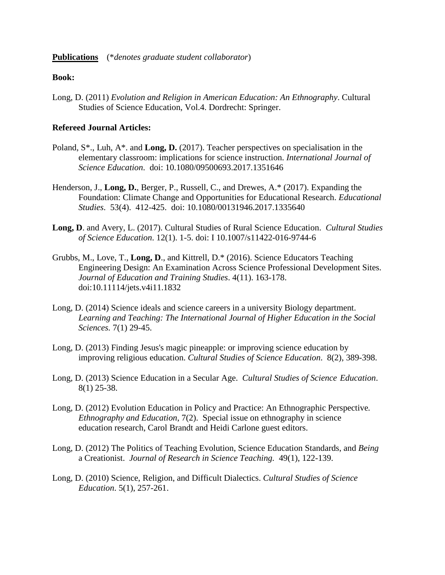#### **Publications** (\**denotes graduate student collaborator*)

#### **Book:**

Long, D. (2011) *Evolution and Religion in American Education: An Ethnography*. Cultural Studies of Science Education, Vol.4. Dordrecht: Springer.

## **Refereed Journal Articles:**

- Poland, S\*., Luh, A\*. and **Long, D.** (2017). Teacher perspectives on specialisation in the elementary classroom: implications for science instruction. *International Journal of Science Education*. doi: 10.1080/09500693.2017.1351646
- Henderson, J., **Long, D.**, Berger, P., Russell, C., and Drewes, A.\* (2017). Expanding the Foundation: Climate Change and Opportunities for Educational Research. *Educational Studies*. 53(4). 412-425. doi: 10.1080/00131946.2017.1335640
- **Long, D**. and Avery, L. (2017). Cultural Studies of Rural Science Education. *Cultural Studies of Science Education*. 12(1). 1-5. doi: I 10.1007/s11422-016-9744-6
- Grubbs, M., Love, T., **Long, D**., and Kittrell, D.\* (2016). Science Educators Teaching Engineering Design: An Examination Across Science Professional Development Sites. *Journal of Education and Training Studies*. 4(11). 163-178. doi:10.11114/jets.v4i11.1832
- Long, D. (2014) Science ideals and science careers in a university Biology department. *Learning and Teaching: The International Journal of Higher Education in the Social Sciences.* 7(1) 29-45.
- Long, D. (2013) Finding Jesus's magic pineapple: or improving science education by improving religious education. *Cultural Studies of Science Education*. 8(2), 389-398.
- Long, D. (2013) Science Education in a Secular Age. *Cultural Studies of Science Education*. 8(1) 25-38.
- Long, D. (2012) Evolution Education in Policy and Practice: An Ethnographic Perspective*. Ethnography and Education*, 7(2). Special issue on ethnography in science education research, Carol Brandt and Heidi Carlone guest editors.
- Long, D. (2012) The Politics of Teaching Evolution, Science Education Standards, and *Being* a Creationist. *Journal of Research in Science Teaching.* 49(1), 122-139.
- Long, D. (2010) Science, Religion, and Difficult Dialectics. *Cultural Studies of Science Education*. 5(1), 257-261.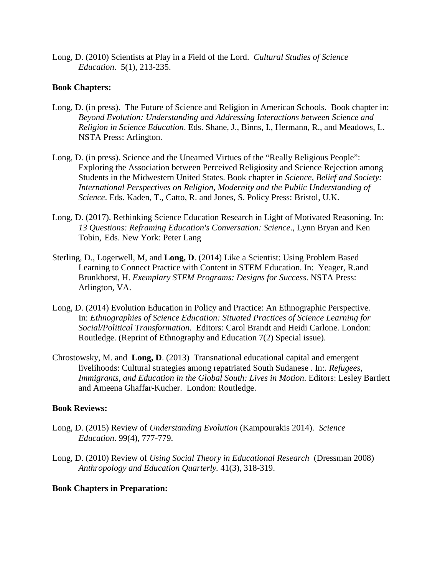Long, D. (2010) Scientists at Play in a Field of the Lord. *Cultural Studies of Science Education*. 5(1), 213-235.

## **Book Chapters:**

- Long, D. (in press). The Future of Science and Religion in American Schools. Book chapter in: *Beyond Evolution: Understanding and Addressing Interactions between Science and Religion in Science Education*. Eds. Shane, J., Binns, I., Hermann, R., and Meadows, L. NSTA Press: Arlington.
- Long, D. (in press). Science and the Unearned Virtues of the "Really Religious People": Exploring the Association between Perceived Religiosity and Science Rejection among Students in the Midwestern United States. Book chapter in *Science, Belief and Society: International Perspectives on Religion, Modernity and the Public Understanding of Science*. Eds. Kaden, T., Catto, R. and Jones, S. Policy Press: Bristol, U.K.
- Long, D. (2017). Rethinking Science Education Research in Light of Motivated Reasoning. In: *13 Questions: Reframing Education's Conversation: Science*., Lynn Bryan and Ken Tobin, Eds. New York: Peter Lang
- Sterling, D., Logerwell, M, and **Long, D**. (2014) Like a Scientist: Using Problem Based Learning to Connect Practice with Content in STEM Education. In: Yeager, R.and Brunkhorst, H. *Exemplary STEM Programs: Designs for Success*. NSTA Press: Arlington, VA.
- Long, D. (2014) Evolution Education in Policy and Practice: An Ethnographic Perspective. In: *Ethnographies of Science Education: Situated Practices of Science Learning for Social/Political Transformation.* Editors: Carol Brandt and Heidi Carlone. London: Routledge. (Reprint of Ethnography and Education 7(2) Special issue).
- Chrostowsky, M. and **Long, D**. (2013) Transnational educational capital and emergent livelihoods: Cultural strategies among repatriated South Sudanese . In:*. Refugees, Immigrants, and Education in the Global South: Lives in Motion*. Editors: Lesley Bartlett and Ameena Ghaffar-Kucher. London: Routledge.

## **Book Reviews:**

- Long, D. (2015) Review of *Understanding Evolution* (Kampourakis 2014). *Science Education*. 99(4), 777-779.
- Long, D. (2010) Review of *Using Social Theory in Educational Research* (Dressman 2008) *Anthropology and Education Quarterly.* 41(3), 318-319.

## **Book Chapters in Preparation:**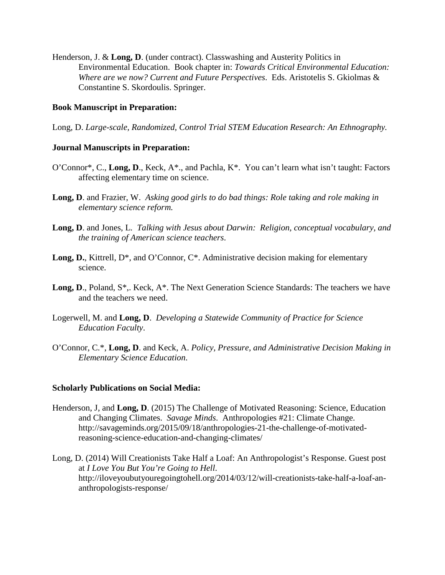Henderson, J. & **Long, D**. (under contract). Classwashing and Austerity Politics in Environmental Education. Book chapter in: *Towards Critical Environmental Education: Where are we now? Current and Future Perspectives*. Eds. Aristotelis S. Gkiolmas & Constantine S. Skordoulis. Springer.

## **Book Manuscript in Preparation:**

Long, D. *Large-scale, Randomized, Control Trial STEM Education Research: An Ethnography.*

## **Journal Manuscripts in Preparation:**

- O'Connor\*, C., **Long, D**., Keck, A\*., and Pachla, K\*. You can't learn what isn't taught: Factors affecting elementary time on science.
- **Long, D**. and Frazier, W. *Asking good girls to do bad things: Role taking and role making in elementary science reform.*
- **Long, D**. and Jones, L. *Talking with Jesus about Darwin: Religion, conceptual vocabulary, and the training of American science teachers*.
- Long, D., Kittrell, D<sup>\*</sup>, and O'Connor, C<sup>\*</sup>. Administrative decision making for elementary science.
- Long, D., Poland, S<sup>\*</sup>,. Keck, A<sup>\*</sup>. The Next Generation Science Standards: The teachers we have and the teachers we need.
- Logerwell, M. and **Long, D**. *Developing a Statewide Community of Practice for Science Education Faculty*.
- O'Connor, C.\*, **Long, D**. and Keck, A. *Policy, Pressure, and Administrative Decision Making in Elementary Science Education*.

## **Scholarly Publications on Social Media:**

- Henderson, J, and **Long, D**. (2015) The Challenge of Motivated Reasoning: Science, Education and Changing Climates. *Savage Minds*. Anthropologies #21: Climate Change. http://savageminds.org/2015/09/18/anthropologies-21-the-challenge-of-motivatedreasoning-science-education-and-changing-climates/
- Long, D. (2014) Will Creationists Take Half a Loaf: An Anthropologist's Response. Guest post at *I Love You But You're Going to Hell*. http://iloveyoubutyouregoingtohell.org/2014/03/12/will-creationists-take-half-a-loaf-ananthropologists-response/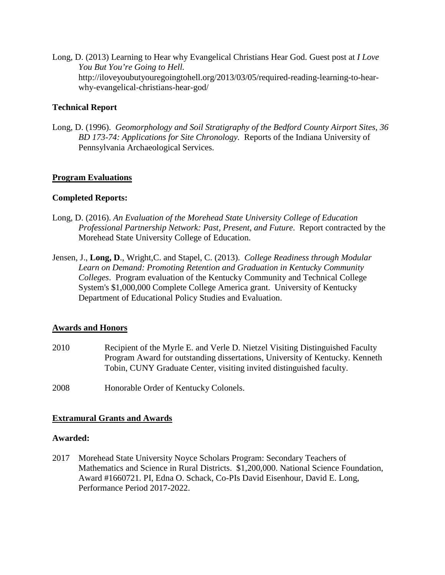Long, D. (2013) Learning to Hear why Evangelical Christians Hear God. Guest post at *I Love You But You're Going to Hell.* http://iloveyoubutyouregoingtohell.org/2013/03/05/required-reading-learning-to-hearwhy-evangelical-christians-hear-god/

# **Technical Report**

Long, D. (1996). *Geomorphology and Soil Stratigraphy of the Bedford County Airport Sites, 36 BD 173-74: Applications for Site Chronology.* Reports of the Indiana University of Pennsylvania Archaeological Services.

## **Program Evaluations**

## **Completed Reports:**

- Long, D. (2016). *An Evaluation of the Morehead State University College of Education Professional Partnership Network: Past, Present, and Future*. Report contracted by the Morehead State University College of Education.
- Jensen, J., **Long, D**., Wright,C. and Stapel, C. (2013). *College Readiness through Modular Learn on Demand: Promoting Retention and Graduation in Kentucky Community Colleges*. Program evaluation of the Kentucky Community and Technical College System's \$1,000,000 Complete College America grant. University of Kentucky Department of Educational Policy Studies and Evaluation.

## **Awards and Honors**

- 2010 Recipient of the Myrle E. and Verle D. Nietzel Visiting Distinguished Faculty Program Award for outstanding dissertations, University of Kentucky. Kenneth Tobin, CUNY Graduate Center, visiting invited distinguished faculty.
- 2008 Honorable Order of Kentucky Colonels.

## **Extramural Grants and Awards**

## **Awarded:**

2017 Morehead State University Noyce Scholars Program: Secondary Teachers of Mathematics and Science in Rural Districts. \$1,200,000. National Science Foundation, Award #1660721. PI, Edna O. Schack, Co-PIs David Eisenhour, David E. Long, Performance Period 2017-2022.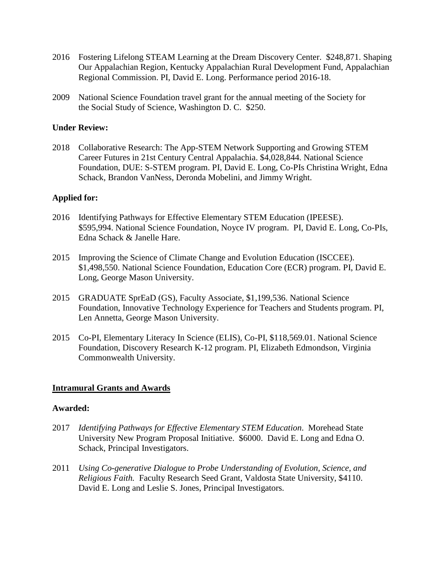- 2016 Fostering Lifelong STEAM Learning at the Dream Discovery Center. \$248,871. Shaping Our Appalachian Region, Kentucky Appalachian Rural Development Fund, Appalachian Regional Commission. PI, David E. Long. Performance period 2016-18.
- 2009 National Science Foundation travel grant for the annual meeting of the Society for the Social Study of Science, Washington D. C. \$250.

## **Under Review:**

2018 Collaborative Research: The App-STEM Network Supporting and Growing STEM Career Futures in 21st Century Central Appalachia. \$4,028,844. National Science Foundation, DUE: S-STEM program. PI, David E. Long, Co-PIs Christina Wright, Edna Schack, Brandon VanNess, Deronda Mobelini, and Jimmy Wright.

## **Applied for:**

- 2016 Identifying Pathways for Effective Elementary STEM Education (IPEESE). \$595,994. National Science Foundation, Noyce IV program. PI, David E. Long, Co-PIs, Edna Schack & Janelle Hare.
- 2015 Improving the Science of Climate Change and Evolution Education (ISCCEE). \$1,498,550. National Science Foundation, Education Core (ECR) program. PI, David E. Long, George Mason University.
- 2015 GRADUATE SprEaD (GS), Faculty Associate, \$1,199,536. National Science Foundation, Innovative Technology Experience for Teachers and Students program. PI, Len Annetta, George Mason University.
- 2015 Co-PI, Elementary Literacy In Science (ELIS), Co-PI, \$118,569.01. National Science Foundation, Discovery Research K-12 program. PI, Elizabeth Edmondson, Virginia Commonwealth University.

#### **Intramural Grants and Awards**

#### **Awarded:**

- 2017 *Identifying Pathways for Effective Elementary STEM Education*. Morehead State University New Program Proposal Initiative. \$6000. David E. Long and Edna O. Schack, Principal Investigators.
- 2011 *Using Co-generative Dialogue to Probe Understanding of Evolution, Science, and Religious Faith.* Faculty Research Seed Grant, Valdosta State University, \$4110. David E. Long and Leslie S. Jones, Principal Investigators.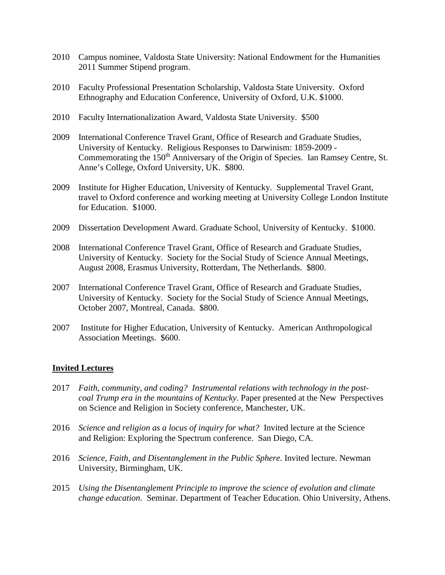- 2010 Campus nominee, Valdosta State University: National Endowment for the Humanities 2011 Summer Stipend program.
- 2010 Faculty Professional Presentation Scholarship, Valdosta State University. Oxford Ethnography and Education Conference, University of Oxford, U.K. \$1000.
- 2010 Faculty Internationalization Award, Valdosta State University. \$500
- 2009 International Conference Travel Grant, Office of Research and Graduate Studies, University of Kentucky. Religious Responses to Darwinism: 1859-2009 - Commemorating the 150<sup>th</sup> Anniversary of the Origin of Species. Ian Ramsey Centre, St. Anne's College, Oxford University, UK. \$800.
- 2009 Institute for Higher Education, University of Kentucky. Supplemental Travel Grant, travel to Oxford conference and working meeting at University College London Institute for Education. \$1000.
- 2009 Dissertation Development Award. Graduate School, University of Kentucky. \$1000.
- 2008 International Conference Travel Grant, Office of Research and Graduate Studies, University of Kentucky. Society for the Social Study of Science Annual Meetings, August 2008, Erasmus University, Rotterdam, The Netherlands. \$800.
- 2007 International Conference Travel Grant, Office of Research and Graduate Studies, University of Kentucky. Society for the Social Study of Science Annual Meetings, October 2007, Montreal, Canada. \$800.
- 2007 Institute for Higher Education, University of Kentucky. American Anthropological Association Meetings. \$600.

## **Invited Lectures**

- 2017 *Faith, community, and coding? Instrumental relations with technology in the postcoal Trump era in the mountains of Kentucky*. Paper presented at the New Perspectives on Science and Religion in Society conference, Manchester, UK.
- 2016 *Science and religion as a locus of inquiry for what?* Invited lecture at the Science and Religion: Exploring the Spectrum conference. San Diego, CA.
- 2016 *Science, Faith, and Disentanglement in the Public Sphere*. Invited lecture. Newman University, Birmingham, UK.
- 2015 *Using the Disentanglement Principle to improve the science of evolution and climate change education*. Seminar. Department of Teacher Education. Ohio University, Athens.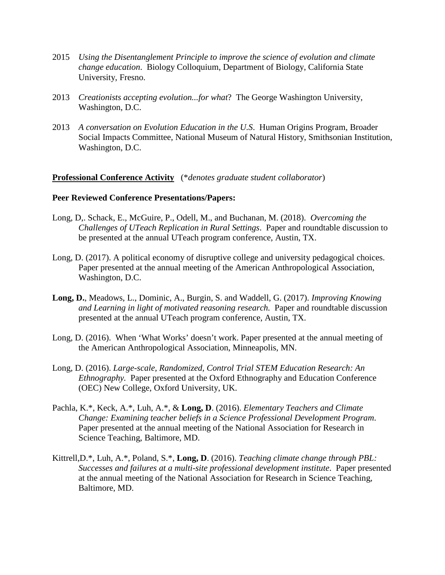- 2015 *Using the Disentanglement Principle to improve the science of evolution and climate change education*. Biology Colloquium, Department of Biology, California State University, Fresno.
- 2013 *Creationists accepting evolution...for what*? The George Washington University, Washington, D.C.
- 2013 *A conversation on Evolution Education in the U.S*. Human Origins Program, Broader Social Impacts Committee, National Museum of Natural History, Smithsonian Institution, Washington, D.C.

#### **Professional Conference Activity** (\**denotes graduate student collaborator*)

#### **Peer Reviewed Conference Presentations/Papers:**

- Long, D,. Schack, E., McGuire, P., Odell, M., and Buchanan, M. (2018). *Overcoming the Challenges of UTeach Replication in Rural Settings*. Paper and roundtable discussion to be presented at the annual UTeach program conference, Austin, TX.
- Long, D. (2017). A political economy of disruptive college and university pedagogical choices. Paper presented at the annual meeting of the American Anthropological Association, Washington, D.C.
- **Long, D.**, Meadows, L., Dominic, A., Burgin, S. and Waddell, G. (2017). *Improving Knowing and Learning in light of motivated reasoning research.* Paper and roundtable discussion presented at the annual UTeach program conference, Austin, TX.
- Long, D. (2016). When 'What Works' doesn't work. Paper presented at the annual meeting of the American Anthropological Association, Minneapolis, MN.
- Long, D. (2016). *Large-scale, Randomized, Control Trial STEM Education Research: An Ethnography.* Paper presented at the Oxford Ethnography and Education Conference (OEC) New College, Oxford University, UK.
- Pachla, K.\*, Keck, A.\*, Luh, A.\*, & **Long, D**. (2016). *Elementary Teachers and Climate Change: Examining teacher beliefs in a Science Professional Development Program*. Paper presented at the annual meeting of the National Association for Research in Science Teaching, Baltimore, MD.
- Kittrell,D.\*, Luh, A.\*, Poland, S.\*, **Long, D**. (2016). *Teaching climate change through PBL: Successes and failures at a multi-site professional development institute*. Paper presented at the annual meeting of the National Association for Research in Science Teaching, Baltimore, MD.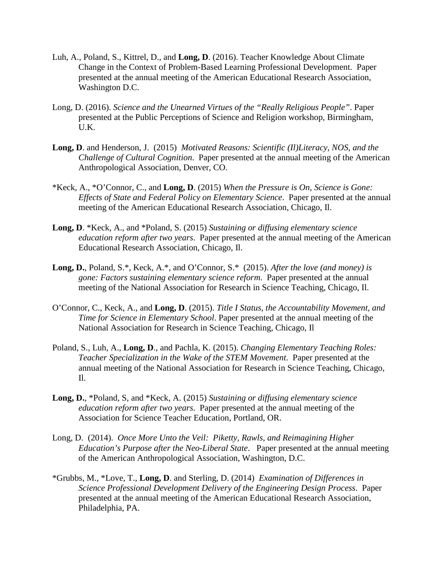- Luh, A., Poland, S., Kittrel, D., and **Long, D**. (2016). Teacher Knowledge About Climate Change in the Context of Problem-Based Learning Professional Development. Paper presented at the annual meeting of the American Educational Research Association, Washington D.C.
- Long, D. (2016). *Science and the Unearned Virtues of the "Really Religious People"*. Paper presented at the Public Perceptions of Science and Religion workshop, Birmingham, U.K.
- **Long, D**. and Henderson, J. (2015) *Motivated Reasons: Scientific (Il)Literacy, NOS, and the Challenge of Cultural Cognition*. Paper presented at the annual meeting of the American Anthropological Association, Denver, CO.
- \*Keck, A., \*O'Connor, C., and **Long, D**. (2015) *When the Pressure is On, Science is Gone: Effects of State and Federal Policy on Elementary Science*. Paper presented at the annual meeting of the American Educational Research Association, Chicago, Il.
- **Long, D**. \*Keck, A., and \*Poland, S. (2015) *Sustaining or diffusing elementary science education reform after two years*. Paper presented at the annual meeting of the American Educational Research Association, Chicago, Il.
- **Long, D.**, Poland, S.\*, Keck, A.\*, and O'Connor, S.\* (2015). *After the love (and money) is gone: Factors sustaining elementary science reform*. Paper presented at the annual meeting of the National Association for Research in Science Teaching, Chicago, Il.
- O'Connor, C., Keck, A., and **Long, D**. (2015). *Title I Status, the Accountability Movement, and Time for Science in Elementary School*. Paper presented at the annual meeting of the National Association for Research in Science Teaching, Chicago, Il
- Poland, S., Luh, A., **Long, D**., and Pachla, K. (2015). *Changing Elementary Teaching Roles: Teacher Specialization in the Wake of the STEM Movement*. Paper presented at the annual meeting of the National Association for Research in Science Teaching, Chicago, Il.
- **Long, D.**, \*Poland, S, and \*Keck, A. (2015) *Sustaining or diffusing elementary science education reform after two years*. Paper presented at the annual meeting of the Association for Science Teacher Education, Portland, OR.
- Long, D. (2014). *Once More Unto the Veil: Piketty, Rawls, and Reimagining Higher Education's Purpose after the Neo-Liberal State*. Paper presented at the annual meeting of the American Anthropological Association, Washington, D.C.
- \*Grubbs, M., \*Love, T., **Long, D**. and Sterling, D. (2014) *Examination of Differences in Science Professional Development Delivery of the Engineering Design Process*. Paper presented at the annual meeting of the American Educational Research Association, Philadelphia, PA.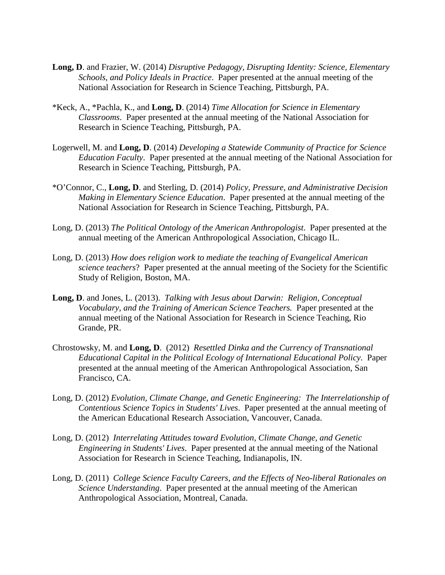- **Long, D**. and Frazier, W. (2014) *Disruptive Pedagogy, Disrupting Identity: Science, Elementary Schools, and Policy Ideals in Practice*. Paper presented at the annual meeting of the National Association for Research in Science Teaching, Pittsburgh, PA.
- \*Keck, A., \*Pachla, K., and **Long, D**. (2014) *Time Allocation for Science in Elementary Classrooms*. Paper presented at the annual meeting of the National Association for Research in Science Teaching, Pittsburgh, PA.
- Logerwell, M. and **Long, D**. (2014) *Developing a Statewide Community of Practice for Science Education Faculty*. Paper presented at the annual meeting of the National Association for Research in Science Teaching, Pittsburgh, PA.
- \*O'Connor, C., **Long, D**. and Sterling, D. (2014) *Policy, Pressure, and Administrative Decision Making in Elementary Science Education*. Paper presented at the annual meeting of the National Association for Research in Science Teaching, Pittsburgh, PA.
- Long, D. (2013) *The Political Ontology of the American Anthropologist*. Paper presented at the annual meeting of the American Anthropological Association, Chicago IL.
- Long, D. (2013) *How does religion work to mediate the teaching of Evangelical American science teachers*? Paper presented at the annual meeting of the Society for the Scientific Study of Religion, Boston, MA.
- **Long, D**. and Jones, L. (2013). *Talking with Jesus about Darwin: Religion, Conceptual Vocabulary, and the Training of American Science Teachers.* Paper presented at the annual meeting of the National Association for Research in Science Teaching, Rio Grande, PR.
- Chrostowsky, M. and **Long, D**. (2012) *Resettled Dinka and the Currency of Transnational Educational Capital in the Political Ecology of International Educational Policy*. Paper presented at the annual meeting of the American Anthropological Association, San Francisco, CA.
- Long, D. (2012) *Evolution, Climate Change, and Genetic Engineering: The Interrelationship of Contentious Science Topics in Students' Lives*. Paper presented at the annual meeting of the American Educational Research Association, Vancouver, Canada.
- Long, D. (2012) *Interrelating Attitudes toward Evolution, Climate Change, and Genetic Engineering in Students' Lives*. Paper presented at the annual meeting of the National Association for Research in Science Teaching, Indianapolis, IN.
- Long, D. (2011) *College Science Faculty Careers, and the Effects of Neo-liberal Rationales on Science Understanding*. Paper presented at the annual meeting of the American Anthropological Association, Montreal, Canada.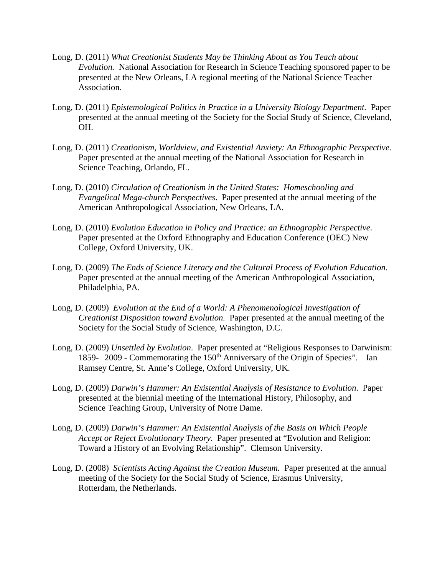- Long, D. (2011) *What Creationist Students May be Thinking About as You Teach about Evolution.* National Association for Research in Science Teaching sponsored paper to be presented at the New Orleans, LA regional meeting of the National Science Teacher Association.
- Long, D. (2011) *Epistemological Politics in Practice in a University Biology Department.* Paper presented at the annual meeting of the Society for the Social Study of Science, Cleveland, OH.
- Long, D. (2011) *Creationism, Worldview, and Existential Anxiety: An Ethnographic Perspective.*  Paper presented at the annual meeting of the National Association for Research in Science Teaching, Orlando, FL.
- Long, D. (2010) *Circulation of Creationism in the United States: Homeschooling and Evangelical Mega-church Perspectives*. Paper presented at the annual meeting of the American Anthropological Association, New Orleans, LA.
- Long, D. (2010) *Evolution Education in Policy and Practice: an Ethnographic Perspective*. Paper presented at the Oxford Ethnography and Education Conference (OEC) New College, Oxford University, UK.
- Long, D. (2009) *The Ends of Science Literacy and the Cultural Process of Evolution Education*. Paper presented at the annual meeting of the American Anthropological Association, Philadelphia, PA.
- Long, D. (2009) *Evolution at the End of a World: A Phenomenological Investigation of Creationist Disposition toward Evolution.* Paper presented at the annual meeting of the Society for the Social Study of Science, Washington, D.C.
- Long, D. (2009) *Unsettled by Evolution*. Paper presented at "Religious Responses to Darwinism: 1859- 2009 - Commemorating the 150th Anniversary of the Origin of Species". Ian Ramsey Centre, St. Anne's College, Oxford University, UK.
- Long, D. (2009) *Darwin's Hammer: An Existential Analysis of Resistance to Evolution*. Paper presented at the biennial meeting of the International History, Philosophy, and Science Teaching Group, University of Notre Dame.
- Long, D. (2009) *Darwin's Hammer: An Existential Analysis of the Basis on Which People Accept or Reject Evolutionary Theory*. Paper presented at "Evolution and Religion: Toward a History of an Evolving Relationship". Clemson University.
- Long, D. (2008) *Scientists Acting Against the Creation Museum.* Paper presented at the annual meeting of the Society for the Social Study of Science, Erasmus University, Rotterdam, the Netherlands.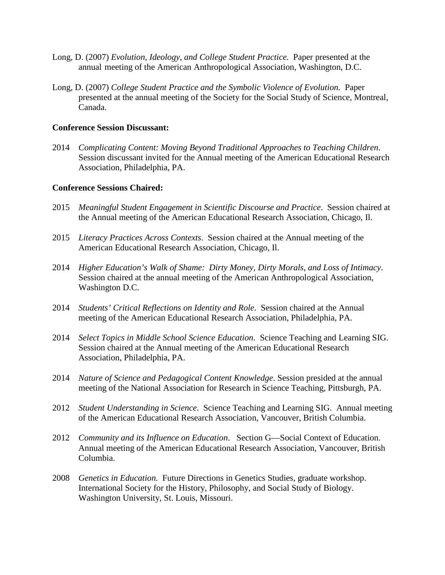- Long, D. (2007) *Evolution, Ideology, and College Student Practice.* Paper presented at the annual meeting of the American Anthropological Association, Washington, D.C.
- Long, D. (2007) *College Student Practice and the Symbolic Violence of Evolution.* Paper presented at the annual meeting of the Society for the Social Study of Science, Montreal, Canada.

## **Conference Session Discussant:**

2014 *Complicating Content: Moving Beyond Traditional Approaches to Teaching Children*. Session discussant invited for the Annual meeting of the American Educational Research Association, Philadelphia, PA.

#### **Conference Sessions Chaired:**

- 2015 *Meaningful Student Engagement in Scientific Discourse and Practice*. Session chaired at the Annual meeting of the American Educational Research Association, Chicago, Il.
- 2015 *Literacy Practices Across Contexts*. Session chaired at the Annual meeting of the American Educational Research Association, Chicago, Il.
- 2014 *Higher Education's Walk of Shame: Dirty Money, Dirty Morals, and Loss of Intimacy*. Session chaired at the annual meeting of the American Anthropological Association, Washington D.C.
- 2014 *Students' Critical Reflections on Identity and Role*. Session chaired at the Annual meeting of the American Educational Research Association, Philadelphia, PA.
- 2014 *Select Topics in Middle School Science Education*. Science Teaching and Learning SIG. Session chaired at the Annual meeting of the American Educational Research Association, Philadelphia, PA.
- 2014 *Nature of Science and Pedagogical Content Knowledge*. Session presided at the annual meeting of the National Association for Research in Science Teaching, Pittsburgh, PA.
- 2012 *Student Understanding in Science*. Science Teaching and Learning SIG. Annual meeting of the American Educational Research Association, Vancouver, British Columbia.
- 2012 *Community and its Influence on Education*. Section G—Social Context of Education. Annual meeting of the American Educational Research Association, Vancouver, British Columbia.
- 2008 *Genetics in Education.* Future Directions in Genetics Studies, graduate workshop. International Society for the History, Philosophy, and Social Study of Biology. Washington University, St. Louis, Missouri.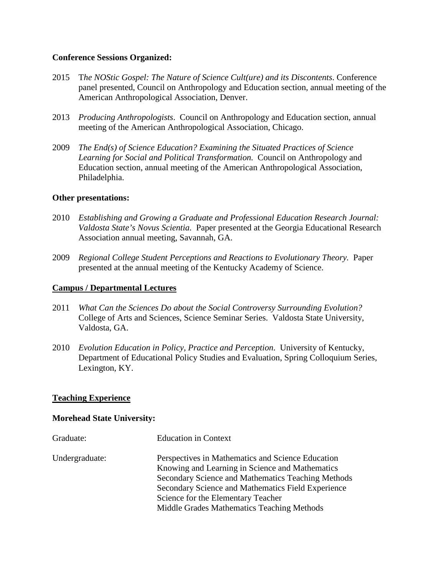## **Conference Sessions Organized:**

- 2015 T*he NOStic Gospel: The Nature of Science Cult(ure) and its Discontents*. Conference panel presented, Council on Anthropology and Education section, annual meeting of the American Anthropological Association, Denver.
- 2013 *Producing Anthropologists*. Council on Anthropology and Education section, annual meeting of the American Anthropological Association, Chicago.
- 2009 *The End(s) of Science Education? Examining the Situated Practices of Science Learning for Social and Political Transformation.* Council on Anthropology and Education section, annual meeting of the American Anthropological Association, Philadelphia.

#### **Other presentations:**

- 2010 *Establishing and Growing a Graduate and Professional Education Research Journal: Valdosta State's Novus Scientia.* Paper presented at the Georgia Educational Research Association annual meeting, Savannah, GA.
- 2009 *Regional College Student Perceptions and Reactions to Evolutionary Theory.* Paper presented at the annual meeting of the Kentucky Academy of Science.

## **Campus / Departmental Lectures**

- 2011 *What Can the Sciences Do about the Social Controversy Surrounding Evolution?* College of Arts and Sciences, Science Seminar Series. Valdosta State University, Valdosta, GA.
- 2010 *Evolution Education in Policy, Practice and Perception*. University of Kentucky, Department of Educational Policy Studies and Evaluation, Spring Colloquium Series, Lexington, KY.

## **Teaching Experience**

#### **Morehead State University:**

| Graduate:      | <b>Education in Context</b>                        |
|----------------|----------------------------------------------------|
| Undergraduate: | Perspectives in Mathematics and Science Education  |
|                | Knowing and Learning in Science and Mathematics    |
|                | Secondary Science and Mathematics Teaching Methods |
|                | Secondary Science and Mathematics Field Experience |
|                | Science for the Elementary Teacher                 |
|                | Middle Grades Mathematics Teaching Methods         |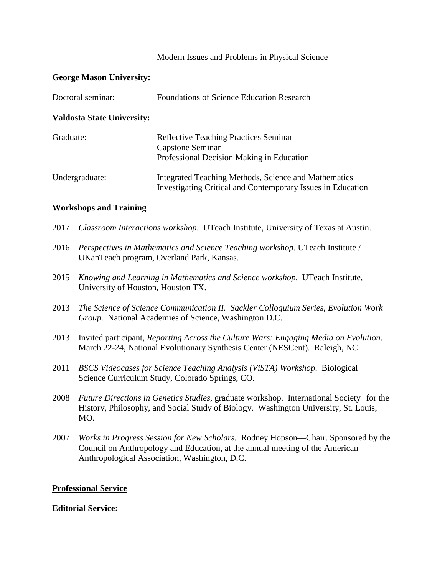## Modern Issues and Problems in Physical Science

## **George Mason University:**

| Doctoral seminar:                 | <b>Foundations of Science Education Research</b>                                                                    |  |
|-----------------------------------|---------------------------------------------------------------------------------------------------------------------|--|
| <b>Valdosta State University:</b> |                                                                                                                     |  |
| Graduate:                         | <b>Reflective Teaching Practices Seminar</b><br>Capstone Seminar<br>Professional Decision Making in Education       |  |
| Undergraduate:                    | Integrated Teaching Methods, Science and Mathematics<br>Investigating Critical and Contemporary Issues in Education |  |

#### **Workshops and Training**

- 2017 *Classroom Interactions workshop*. UTeach Institute, University of Texas at Austin.
- 2016 *Perspectives in Mathematics and Science Teaching workshop*. UTeach Institute / UKanTeach program, Overland Park, Kansas.
- 2015 *Knowing and Learning in Mathematics and Science workshop*. UTeach Institute, University of Houston, Houston TX.
- 2013 *The Science of Science Communication II. Sackler Colloquium Series, Evolution Work Group*. National Academies of Science, Washington D.C.
- 2013 Invited participant, *Reporting Across the Culture Wars: Engaging Media on Evolution*. March 22-24, National Evolutionary Synthesis Center (NESCent). Raleigh, NC.
- 2011 *BSCS Videocases for Science Teaching Analysis (ViSTA) Workshop*. Biological Science Curriculum Study, Colorado Springs, CO.
- 2008 *Future Directions in Genetics Studies*, graduate workshop. International Society for the History, Philosophy, and Social Study of Biology. Washington University, St. Louis, MO.
- 2007 *Works in Progress Session for New Scholars.* Rodney Hopson—Chair. Sponsored by the Council on Anthropology and Education, at the annual meeting of the American Anthropological Association, Washington, D.C.

## **Professional Service**

#### **Editorial Service:**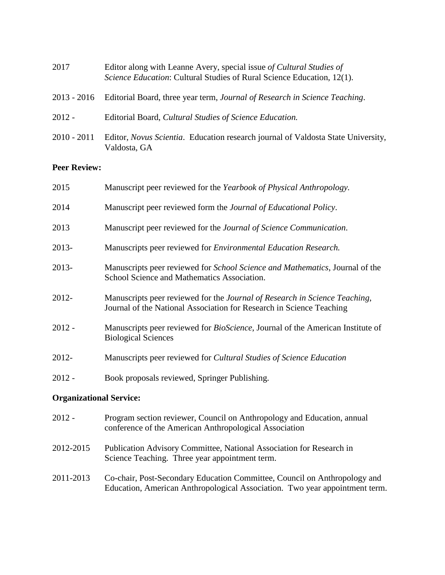| 2017          | Editor along with Leanne Avery, special issue of Cultural Studies of<br>Science Education: Cultural Studies of Rural Science Education, 12(1). |
|---------------|------------------------------------------------------------------------------------------------------------------------------------------------|
|               | 2013 - 2016 Editorial Board, three year term, Journal of Research in Science Teaching.                                                         |
| $2012 -$      | Editorial Board, Cultural Studies of Science Education.                                                                                        |
| $2010 - 2011$ | Editor, <i>Novus Scientia.</i> Education research journal of Valdosta State University,<br>Valdosta, GA                                        |

# **Peer Review:**

| 2015     | Manuscript peer reviewed for the Yearbook of Physical Anthropology.                                                                                |
|----------|----------------------------------------------------------------------------------------------------------------------------------------------------|
| 2014     | Manuscript peer reviewed form the <i>Journal of Educational Policy</i> .                                                                           |
| 2013     | Manuscript peer reviewed for the Journal of Science Communication.                                                                                 |
| 2013-    | Manuscripts peer reviewed for <i>Environmental Education Research</i> .                                                                            |
| 2013-    | Manuscripts peer reviewed for <i>School Science and Mathematics</i> , Journal of the<br>School Science and Mathematics Association.                |
| 2012-    | Manuscripts peer reviewed for the Journal of Research in Science Teaching,<br>Journal of the National Association for Research in Science Teaching |
| $2012 -$ | Manuscripts peer reviewed for <i>BioScience</i> , Journal of the American Institute of<br><b>Biological Sciences</b>                               |
| 2012-    | Manuscripts peer reviewed for Cultural Studies of Science Education                                                                                |
| $2012 -$ | Book proposals reviewed, Springer Publishing.                                                                                                      |

# **Organizational Service:**

| 2012 -    | Program section reviewer, Council on Anthropology and Education, annual<br>conference of the American Anthropological Association                        |
|-----------|----------------------------------------------------------------------------------------------------------------------------------------------------------|
| 2012-2015 | Publication Advisory Committee, National Association for Research in<br>Science Teaching. Three year appointment term.                                   |
| 2011-2013 | Co-chair, Post-Secondary Education Committee, Council on Anthropology and<br>Education, American Anthropological Association. Two year appointment term. |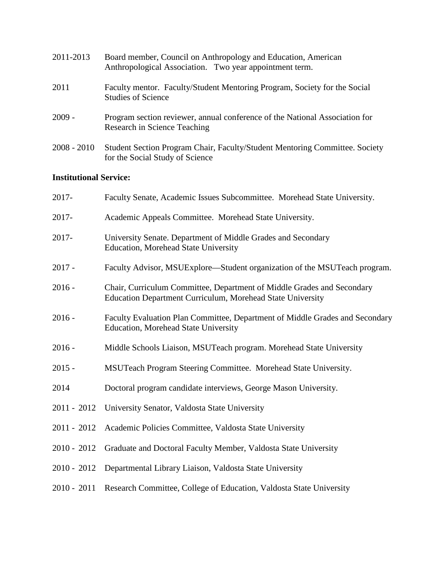| 2011-2013     | Board member, Council on Anthropology and Education, American<br>Anthropological Association. Two year appointment term. |
|---------------|--------------------------------------------------------------------------------------------------------------------------|
| 2011          | Faculty mentor. Faculty/Student Mentoring Program, Society for the Social<br><b>Studies of Science</b>                   |
| $2009 -$      | Program section reviewer, annual conference of the National Association for<br>Research in Science Teaching              |
| $2008 - 2010$ | Student Section Program Chair, Faculty/Student Mentoring Committee. Society<br>for the Social Study of Science           |

# **Institutional Service:**

| 2017-         | Faculty Senate, Academic Issues Subcommittee. Morehead State University.                                                                    |
|---------------|---------------------------------------------------------------------------------------------------------------------------------------------|
| 2017-         | Academic Appeals Committee. Morehead State University.                                                                                      |
| 2017-         | University Senate. Department of Middle Grades and Secondary<br><b>Education, Morehead State University</b>                                 |
| $2017 -$      | Faculty Advisor, MSUExplore—Student organization of the MSUTeach program.                                                                   |
| $2016 -$      | Chair, Curriculum Committee, Department of Middle Grades and Secondary<br><b>Education Department Curriculum, Morehead State University</b> |
| $2016 -$      | Faculty Evaluation Plan Committee, Department of Middle Grades and Secondary<br><b>Education, Morehead State University</b>                 |
| $2016 -$      | Middle Schools Liaison, MSUTeach program. Morehead State University                                                                         |
| $2015 -$      | MSUTeach Program Steering Committee. Morehead State University.                                                                             |
| 2014          | Doctoral program candidate interviews, George Mason University.                                                                             |
| $2011 - 2012$ | University Senator, Valdosta State University                                                                                               |
| $2011 - 2012$ | Academic Policies Committee, Valdosta State University                                                                                      |
| $2010 - 2012$ | Graduate and Doctoral Faculty Member, Valdosta State University                                                                             |
| $2010 - 2012$ | Departmental Library Liaison, Valdosta State University                                                                                     |
| $2010 - 2011$ | Research Committee, College of Education, Valdosta State University                                                                         |